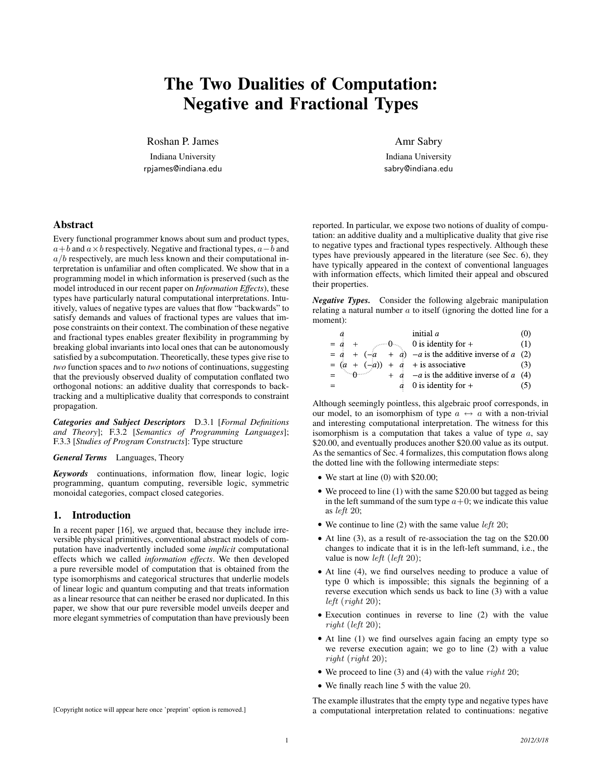# The Two Dualities of Computation: Negative and Fractional Types

Roshan P. James

Indiana University rpjames@indiana.edu Amr Sabry

Indiana University sabry@indiana.edu

## Abstract

Every functional programmer knows about sum and product types,  $a+b$  and  $a \times b$  respectively. Negative and fractional types,  $a-b$  and  $a/b$  respectively, are much less known and their computational interpretation is unfamiliar and often complicated. We show that in a programming model in which information is preserved (such as the model introduced in our recent paper on *Information Effects*), these types have particularly natural computational interpretations. Intuitively, values of negative types are values that flow "backwards" to satisfy demands and values of fractional types are values that impose constraints on their context. The combination of these negative and fractional types enables greater flexibility in programming by breaking global invariants into local ones that can be autonomously satisfied by a subcomputation. Theoretically, these types give rise to *two* function spaces and to *two* notions of continuations, suggesting that the previously observed duality of computation conflated two orthogonal notions: an additive duality that corresponds to backtracking and a multiplicative duality that corresponds to constraint propagation.

*Categories and Subject Descriptors* D.3.1 [*Formal Definitions and Theory*]; F.3.2 [*Semantics of Programming Languages*]; F.3.3 [*Studies of Program Constructs*]: Type structure

*General Terms* Languages, Theory

*Keywords* continuations, information flow, linear logic, logic programming, quantum computing, reversible logic, symmetric monoidal categories, compact closed categories.

## 1. Introduction

In a recent paper [16], we argued that, because they include irreversible physical primitives, conventional abstract models of computation have inadvertently included some *implicit* computational effects which we called *information effects*. We then developed a pure reversible model of computation that is obtained from the type isomorphisms and categorical structures that underlie models of linear logic and quantum computing and that treats information as a linear resource that can neither be erased nor duplicated. In this paper, we show that our pure reversible model unveils deeper and more elegant symmetries of computation than have previously been

[Copyright notice will appear here once 'preprint' option is removed.]

reported. In particular, we expose two notions of duality of computation: an additive duality and a multiplicative duality that give rise to negative types and fractional types respectively. Although these types have previously appeared in the literature (see Sec. 6), they have typically appeared in the context of conventional languages with information effects, which limited their appeal and obscured their properties.

*Negative Types.* Consider the following algebraic manipulation relating a natural number  $a$  to itself (ignoring the dotted line for a moment):

|               | a                                       |  |  | initial $a$                                            | (0) |
|---------------|-----------------------------------------|--|--|--------------------------------------------------------|-----|
| $=$ $\dot{a}$ |                                         |  |  | $+$ $\theta$ 0 is identity for +                       | (1) |
|               |                                         |  |  | $= a + (-a + a) - a$ is the additive inverse of a (2)  |     |
|               |                                         |  |  | $=(a + (-a)) + a + is associative$                     | (3) |
|               | $=$ $\cdots$ $\theta$ $\cdots$ $\cdots$ |  |  | $+$ $\dot{a}$ – $a$ is the additive inverse of $a$ (4) |     |
|               |                                         |  |  | $\dot{a}$ 0 is identity for +                          |     |

Although seemingly pointless, this algebraic proof corresponds, in our model, to an isomorphism of type  $a \leftrightarrow a$  with a non-trivial and interesting computational interpretation. The witness for this isomorphism is a computation that takes a value of type  $a$ , say \$20.00, and eventually produces another \$20.00 value as its output. As the semantics of Sec. 4 formalizes, this computation flows along the dotted line with the following intermediate steps:

- We start at line (0) with \$20.00;
- We proceed to line (1) with the same \$20.00 but tagged as being in the left summand of the sum type  $a+0$ ; we indicate this value as left 20;
- We continue to line (2) with the same value *left* 20;
- At line (3), as a result of re-association the tag on the \$20.00 changes to indicate that it is in the left-left summand, i.e., the value is now *left* (*left* 20);
- At line (4), we find ourselves needing to produce a value of type 0 which is impossible; this signals the beginning of a reverse execution which sends us back to line (3) with a value left (right 20);
- Execution continues in reverse to line (2) with the value right (left 20);
- At line (1) we find ourselves again facing an empty type so we reverse execution again; we go to line (2) with a value right (right 20);
- We proceed to line (3) and (4) with the value  $right$  20;
- We finally reach line 5 with the value 20.

The example illustrates that the empty type and negative types have a computational interpretation related to continuations: negative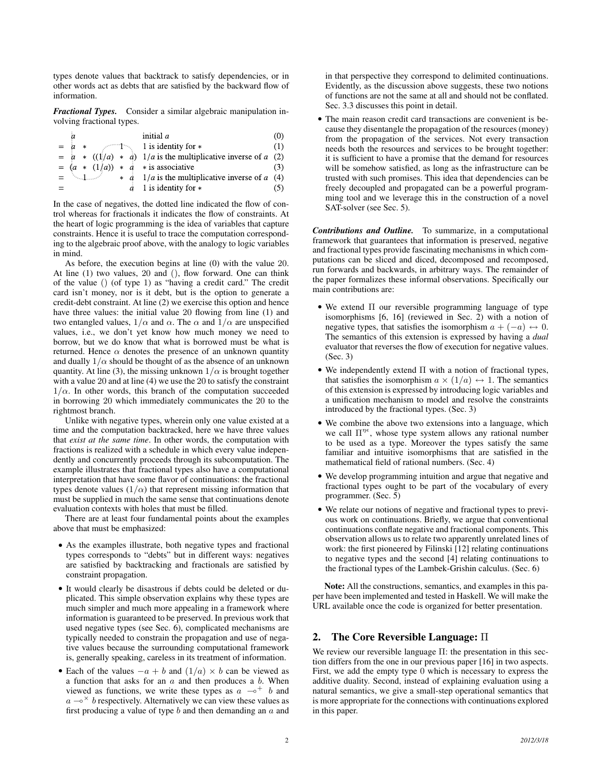types denote values that backtrack to satisfy dependencies, or in other words act as debts that are satisfied by the backward flow of information.

*Fractional Types.* Consider a similar algebraic manipulation involving fractional types.

|       | а                 |     |  | initial $a$                                                                | (0) |
|-------|-------------------|-----|--|----------------------------------------------------------------------------|-----|
| $= a$ |                   | $*$ |  | $-1$ is identity for $*$                                                   | (1) |
|       |                   |     |  | $= a * ((1/a) * a) 1/a$ is the multiplicative inverse of a (2)             |     |
|       |                   |     |  | $= (a * (1/a)) * a *$ is associative                                       | (3) |
|       | to a manufactured |     |  | $\star$ <i>a</i> 1/ <i>a</i> is the multiplicative inverse of <i>a</i> (4) |     |
|       |                   |     |  | $\dot{a}$ 1 is identity for $*$                                            | (5) |

In the case of negatives, the dotted line indicated the flow of control whereas for fractionals it indicates the flow of constraints. At the heart of logic programming is the idea of variables that capture constraints. Hence it is useful to trace the computation corresponding to the algebraic proof above, with the analogy to logic variables in mind.

As before, the execution begins at line (0) with the value 20. At line (1) two values, 20 and (), flow forward. One can think of the value () (of type 1) as "having a credit card." The credit card isn't money, nor is it debt, but is the option to generate a credit-debt constraint. At line (2) we exercise this option and hence have three values: the initial value 20 flowing from line (1) and two entangled values,  $1/\alpha$  and  $\alpha$ . The  $\alpha$  and  $1/\alpha$  are unspecified values, i.e., we don't yet know how much money we need to borrow, but we do know that what is borrowed must be what is returned. Hence  $\alpha$  denotes the presence of an unknown quantity and dually  $1/\alpha$  should be thought of as the absence of an unknown quantity. At line (3), the missing unknown  $1/\alpha$  is brought together with a value 20 and at line (4) we use the 20 to satisfy the constraint  $1/\alpha$ . In other words, this branch of the computation succeeded in borrowing 20 which immediately communicates the 20 to the rightmost branch.

Unlike with negative types, wherein only one value existed at a time and the computation backtracked, here we have three values that *exist at the same time*. In other words, the computation with fractions is realized with a schedule in which every value independently and concurrently proceeds through its subcomputation. The example illustrates that fractional types also have a computational interpretation that have some flavor of continuations: the fractional types denote values  $(1/\alpha)$  that represent missing information that must be supplied in much the same sense that continuations denote evaluation contexts with holes that must be filled.

There are at least four fundamental points about the examples above that must be emphasized:

- As the examples illustrate, both negative types and fractional types corresponds to "debts" but in different ways: negatives are satisfied by backtracking and fractionals are satisfied by constraint propagation.
- It would clearly be disastrous if debts could be deleted or duplicated. This simple observation explains why these types are much simpler and much more appealing in a framework where information is guaranteed to be preserved. In previous work that used negative types (see Sec. 6), complicated mechanisms are typically needed to constrain the propagation and use of negative values because the surrounding computational framework is, generally speaking, careless in its treatment of information.
- Each of the values  $-a + b$  and  $(1/a) \times b$  can be viewed as a function that asks for an  $a$  and then produces a  $b$ . When viewed as functions, we write these types as  $a \sim b$  and  $a \rightarrow^{\times} b$  respectively. Alternatively we can view these values as first producing a value of type  $b$  and then demanding an  $a$  and

in that perspective they correspond to delimited continuations. Evidently, as the discussion above suggests, these two notions of functions are not the same at all and should not be conflated. Sec. 3.3 discusses this point in detail.

• The main reason credit card transactions are convenient is because they disentangle the propagation of the resources (money) from the propagation of the services. Not every transaction needs both the resources and services to be brought together: it is sufficient to have a promise that the demand for resources will be somehow satisfied, as long as the infrastructure can be trusted with such promises. This idea that dependencies can be freely decoupled and propagated can be a powerful programming tool and we leverage this in the construction of a novel SAT-solver (see Sec. 5).

*Contributions and Outline.* To summarize, in a computational framework that guarantees that information is preserved, negative and fractional types provide fascinating mechanisms in which computations can be sliced and diced, decomposed and recomposed, run forwards and backwards, in arbitrary ways. The remainder of the paper formalizes these informal observations. Specifically our main contributions are:

- We extend  $\Pi$  our reversible programming language of type isomorphisms [6, 16] (reviewed in Sec. 2) with a notion of negative types, that satisfies the isomorphism  $a + (-a) \leftrightarrow 0$ . The semantics of this extension is expressed by having a *dual* evaluator that reverses the flow of execution for negative values. (Sec. 3)
- We independently extend  $\Pi$  with a notion of fractional types, that satisfies the isomorphism  $a \times (1/a) \leftrightarrow 1$ . The semantics of this extension is expressed by introducing logic variables and a unification mechanism to model and resolve the constraints introduced by the fractional types. (Sec. 3)
- We combine the above two extensions into a language, which we call  $\Pi^{\eta\epsilon}$ , whose type system allows any rational number to be used as a type. Moreover the types satisfy the same familiar and intuitive isomorphisms that are satisfied in the mathematical field of rational numbers. (Sec. 4)
- We develop programming intuition and argue that negative and fractional types ought to be part of the vocabulary of every programmer. (Sec. 5)
- We relate our notions of negative and fractional types to previous work on continuations. Briefly, we argue that conventional continuations conflate negative and fractional components. This observation allows us to relate two apparently unrelated lines of work: the first pioneered by Filinski [12] relating continuations to negative types and the second [4] relating continuations to the fractional types of the Lambek-Grishin calculus. (Sec. 6)

Note: All the constructions, semantics, and examples in this paper have been implemented and tested in Haskell. We will make the URL available once the code is organized for better presentation.

## 2. The Core Reversible Language: Π

We review our reversible language Π: the presentation in this section differs from the one in our previous paper [16] in two aspects. First, we add the empty type 0 which is necessary to express the additive duality. Second, instead of explaining evaluation using a natural semantics, we give a small-step operational semantics that is more appropriate for the connections with continuations explored in this paper.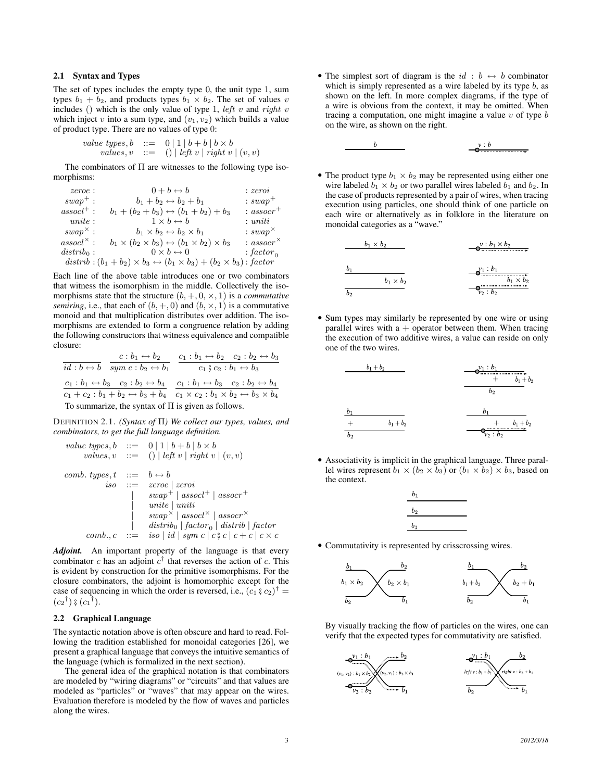## 2.1 Syntax and Types

The set of types includes the empty type 0, the unit type 1, sum types  $b_1 + b_2$ , and products types  $b_1 \times b_2$ . The set of values v includes () which is the only value of type 1, *left v* and *right v* which inject v into a sum type, and  $(v_1, v_2)$  which builds a value of product type. There are no values of type 0:

value types, 
$$
b ::= 0 | 1 | b + b | b \times b
$$
  
values,  $v ::= () | left v | right v | (v, v)$ 

The combinators of  $\Pi$  are witnesses to the following type isomorphisms:

| $zeroe$ :              | $0+b \leftrightarrow b$                                                              | : zeroi                     |
|------------------------|--------------------------------------------------------------------------------------|-----------------------------|
| $swap^+$ :             | $b_1 + b_2 \leftrightarrow b_2 + b_1$                                                | $: swap^+$                  |
| $assocl^+$ :           | $b_1 + (b_2 + b_3) \leftrightarrow (b_1 + b_2) + b_3$                                | $: assoc+$                  |
| $unite$ :              | $1 \times b \leftrightarrow b$                                                       | : uniti                     |
| $swap^{\times}$ :      | $b_1 \times b_2 \leftrightarrow b_2 \times b_1$                                      | $: swap^{\times}$           |
| $assocl^{\times}$ :    | $b_1 \times (b_2 \times b_3) \leftrightarrow (b_1 \times b_2) \times b_3$            | : <i>assoc</i> <sup>×</sup> |
| distrib <sub>0</sub> : | $0 \times b \leftrightarrow 0$                                                       | : $factor_0$                |
|                        | $distrib:(b_1+b_2)\times b_3\leftrightarrow(b_1\times b_3)+(b_2\times b_3)$ : factor |                             |

Each line of the above table introduces one or two combinators that witness the isomorphism in the middle. Collectively the isomorphisms state that the structure  $(b, +, 0, \times, 1)$  is a *commutative semiring*, i.e., that each of  $(b, +, 0)$  and  $(b, \times, 1)$  is a commutative monoid and that multiplication distributes over addition. The isomorphisms are extended to form a congruence relation by adding the following constructors that witness equivalence and compatible closure:

$$
\frac{c:b_1 \leftrightarrow b_2}{\text{sign } c:b_2 \leftrightarrow b_1} \quad \frac{c_1:b_1 \leftrightarrow b_2 \quad c_2:b_2 \leftrightarrow b_3}{c_1 \text{ }^{\circ}_2 c_2 : b_1 \leftrightarrow b_3}
$$
\n
$$
\frac{c_1:b_1 \leftrightarrow b_3 \quad c_2:b_2 \leftrightarrow b_4}{c_1 + c_2 : b_1 + b_2 \leftrightarrow b_3 + b_4} \quad \frac{c_1:b_1 \leftrightarrow b_3 \quad c_2:b_2 \leftrightarrow b_4}{c_1 \times c_2 : b_1 \times b_2 \leftrightarrow b_3 \times b_4}
$$
\nTo summarize, the syntax of  $\Pi$  is given as follows.

DEFINITION 2.1. *(Syntax of* Π*) We collect our types, values, and combinators, to get the full language definition.*

value types, 
$$
b ::= 0 | 1 | b + b | b \times b
$$
  
\nvalues,  $v ::= () | left v | right v | (v, v)$   
\ncomb. types,  $t ::= b \leftrightarrow b$   
\niso ::=  $zero | zeroi$   
\n $| swap^{+} | assoc^{+} | assoc^{+}$   
\n $| unit | unit$   
\n $| swap^{\times} | assoc^{\times} | assoc^{\times}$   
\n $| distrib_{0} | factor_{0} | distrib | factor$   
\ncomb.,  $c ::= iso | id | sym c | c \frac{2}{3} c | c + c | c \times c$ 

*Adjoint.* An important property of the language is that every combinator c has an adjoint  $c^{\dagger}$  that reverses the action of c. This is evident by construction for the primitive isomorphisms. For the closure combinators, the adjoint is homomorphic except for the case of sequencing in which the order is reversed, i.e.,  $(c_1 \hat{s} c_2)^{\dagger} = (c_2 \hat{b}) \hat{s} (c_1 \hat{b})$  $(c_2^{\dagger})$   $\frac{6}{9}(c_1^{\dagger}).$ 

#### 2.2 Graphical Language

The syntactic notation above is often obscure and hard to read. Following the tradition established for monoidal categories [26], we present a graphical language that conveys the intuitive semantics of the language (which is formalized in the next section).

The general idea of the graphical notation is that combinators are modeled by "wiring diagrams" or "circuits" and that values are modeled as "particles" or "waves" that may appear on the wires. Evaluation therefore is modeled by the flow of waves and particles along the wires.

- The simplest sort of diagram is the  $id : b \leftrightarrow b$  combinator which is simply represented as a wire labeled by its type  $b$ , as shown on the left. In more complex diagrams, if the type of a wire is obvious from the context, it may be omitted. When tracing a computation, one might imagine a value  $v$  of type  $b$ on the wire, as shown on the right.
	- $\boldsymbol{b}$  $v : b$
- The product type  $b_1 \times b_2$  may be represented using either one wire labeled  $b_1 \times b_2$  or two parallel wires labeled  $b_1$  and  $b_2$ . In the case of products represented by a pair of wires, when tracing execution using particles, one should think of one particle on each wire or alternatively as in folklore in the literature on monoidal categories as a "wave."

| $b_1 \times b_2$ | $\bigcup_{b_1 \times b_2}$ |
|------------------|----------------------------|
| $b_1$            | $b_1 \times b_2$           |
| $b_1 \times b_2$ | $\bigcup_{b_1 \times b_2}$ |
| $b_2$            | $\bigcup_{b_1 \times b_2}$ |

• Sum types may similarly be represented by one wire or using parallel wires with  $a +$  operator between them. When tracing the execution of two additive wires, a value can reside on only one of the two wires.

| $b_1 + b_2$ | $-\frac{b_1 : b_1}{b_2}$      |
|-------------|-------------------------------|
| $b_1$       | $b_2$                         |
| $b_2$       | $b_1$                         |
| $b_2$       | $b_2$                         |
| $b_2$       | $\frac{b_1 + b_2}{b_2 + b_2}$ |

• Associativity is implicit in the graphical language. Three parallel wires represent  $b_1 \times (b_2 \times b_3)$  or  $(b_1 \times b_2) \times b_3$ , based on the context.

| $b_1$ |  |
|-------|--|
| $b_2$ |  |
| $b_3$ |  |

• Commutativity is represented by crisscrossing wires.



By visually tracking the flow of particles on the wires, one can verify that the expected types for commutativity are satisfied.

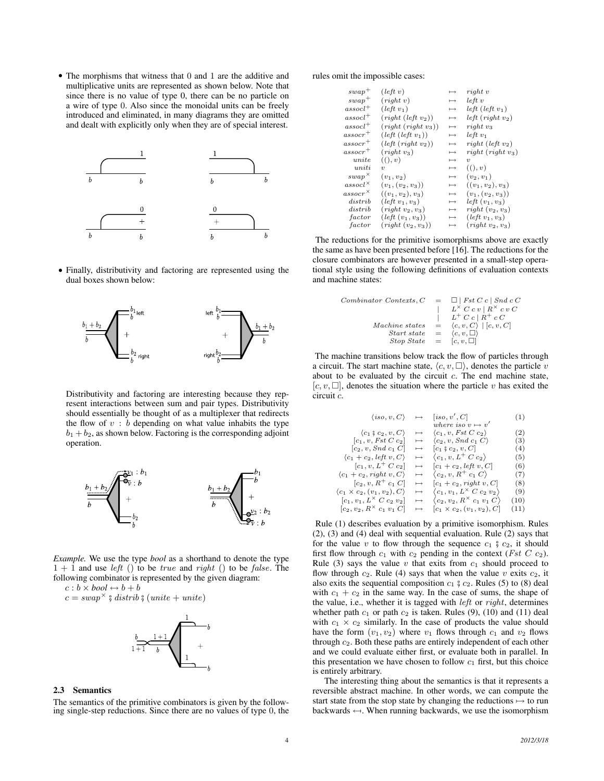• The morphisms that witness that 0 and 1 are the additive and multiplicative units are represented as shown below. Note that since there is no value of type 0, there can be no particle on a wire of type 0. Also since the monoidal units can be freely introduced and eliminated, in many diagrams they are omitted and dealt with explicitly only when they are of special interest.



• Finally, distributivity and factoring are represented using the dual boxes shown below:



Distributivity and factoring are interesting because they represent interactions between sum and pair types. Distributivity should essentially be thought of as a multiplexer that redirects the flow of  $v : b$  depending on what value inhabits the type  $b_1 + b_2$ , as shown below. Factoring is the corresponding adjoint operation.



*Example.* We use the type *bool* as a shorthand to denote the type  $1 + 1$  and use *left* () to be *true* and *right* () to be *false*. The following combinator is represented by the given diagram:

 $c : b \times bool \leftrightarrow b + b$ 

$$
c = swap^{\times} \text{ § } \text{distrib } \text{§ } (\text{unite} + \text{unite})
$$



#### 2.3 Semantics

The semantics of the primitive combinators is given by the following single-step reductions. Since there are no values of type 0, the rules omit the impossible cases:

| $swap^+$            | (left v)                       | $\mapsto$ | right v                  |
|---------------------|--------------------------------|-----------|--------------------------|
| $swap^+$            | (right v)                      | $\mapsto$ | $left\ v$                |
| $assocl^+$          | $(left v_1)$                   | $\mapsto$ | $left ( left v_1)$       |
| $assocl^+$          | (right (left v <sub>2</sub> )) | $\mapsto$ | $left(right v_2)$        |
| $assocl^+$          | $(right(right v_3))$           | $\mapsto$ | $right v_3$              |
| $\mathit{assocr}^+$ | (left (left v <sub>1</sub> ))  | $\mapsto$ | $left v_1$               |
| $assocr^+$          | (left (right v <sub>2</sub> )) | $\mapsto$ | right (left $v_2$ )      |
| $assocr^+$          | $(right v_3)$                  | $\mapsto$ | $right(right v_3)$       |
| $\it{unite}$        | ((), v)                        | $\mapsto$ | $\eta$                   |
| uniti               | $\eta$                         | $\mapsto$ | ((), v)                  |
| $swap^{\times}$     | $(v_1, v_2)$                   | $\mapsto$ | $(v_2, v_1)$             |
| $assocl^{\times}$   | $(v_1,(v_2,v_3))$              | $\mapsto$ | $((v_1, v_2), v_3)$      |
| $assoc r^{\times}$  | $((v_1, v_2), v_3)$            | $\mapsto$ | $(v_1,(v_2,v_3))$        |
| distrib             | $(left v_1, v_3)$              | $\mapsto$ | <i>left</i> $(v_1, v_3)$ |
| distrib             | $(right v_2, v_3)$             | $\mapsto$ | $right(v_2, v_3)$        |
| factor              | $(left (v_1, v_3))$            | $\mapsto$ | $(left v_1, v_3)$        |
| factor              | $(right(v_2,v_3))$             | $\mapsto$ | $(right v_2, v_3)$       |
|                     |                                |           |                          |

The reductions for the primitive isomorphisms above are exactly the same as have been presented before [16]. The reductions for the closure combinators are however presented in a small-step operational style using the following definitions of evaluation contexts and machine states:

Combinator Contexts, 
$$
C = \Box \mid \text{Fst } C \mid \text{Snd } c \mid C
$$

\n
$$
\mid \quad L^{\times} C \mid c \mid R^{\times} c \mid c \mid C
$$
\n
$$
\mid \quad L^{\div} C \mid R^{\div} c \mid C
$$
\nMachine states =  $\langle c, v, C \rangle$  |  $[c, v, C]$ 

\nStart state =  $\langle c, v, \Box \rangle$ 

\nStop State =  $[c, v, \Box]$ 

The machine transitions below track the flow of particles through a circuit. The start machine state,  $\langle c, v, \square \rangle$ , denotes the particle v about to be evaluated by the circuit  $c$ . The end machine state,  $[c, v, \Box]$ , denotes the situation where the particle v has exited the circuit c.

$$
\langle iso, v, C \rangle \rightarrow \begin{array}{ccc} \langle iso, v', C \rangle & \mapsto & \langle v, v' \rangle & (1) \\ \text{where } iso \ v \mapsto v' & \\ \langle c_1 \, *c_2 \, *c_3 \rangle & \mapsto & \langle c_1, v, \text{Fst } C \cdot c_2 \rangle & (2) \\ \langle c_1, v, \text{Fst } C \cdot c_2 \rangle & \mapsto & \langle c_2, v, \text{Snd } c_1 \cdot C \rangle & (3) \\ \langle c_2, v, \text{Snd } c_1 \cdot C \rangle & \mapsto & \langle c_1 \, *c_2 \, *c_3 \cdot C \rangle & (4) \\ \langle c_1 + c_2, \text{left } v, C \rangle & \mapsto & \langle c_1, v, L^+ \text{ } C \cdot c_2 \rangle & (5) \\ \langle c_1 + c_2, \text{right } v, C \rangle & \mapsto & \langle c_2, v, R^+ \text{ } c_1 \cdot C \rangle & (7) \\ \langle c_2, v, R^+ \text{ } c_1 \cdot C \rangle & \mapsto & \langle c_2, v, R^+ \text{ } c_1 \cdot C \rangle & (8) \\ \langle c_1 \times c_2, (v_1, v_2), C \rangle & \mapsto & \langle c_1, v_1, L^{\times} \text{ } C \text{ } c_2 \cdot v_2 \rangle & (9) \\ \langle c_1, v_1, L^{\times} \text{ } C \text{ } c_2 \cdot v_2 \rangle & \mapsto & \langle c_2, v_2, R^{\times} \text{ } c_1 \cdot v_1 \cdot C \rangle & (10) \\ \langle c_2, v_2, R^{\times} \text{ } c_1 \cdot v_1 \cdot C \rangle & \mapsto & \langle c_1 \times c_2, (v_1, v_2), C \rangle & (11) \end{array}
$$

Rule (1) describes evaluation by a primitive isomorphism. Rules (2), (3) and (4) deal with sequential evaluation. Rule (2) says that for the value v to flow through the sequence  $c_1$   $\frac{6}{5}$   $c_2$ , it should first flow through  $c_1$  with  $c_2$  pending in the context (*Fst C c*<sub>2</sub>). Rule (3) says the value  $v$  that exits from  $c_1$  should proceed to flow through  $c_2$ . Rule (4) says that when the value v exits  $c_2$ , it also exits the sequential composition  $c_1$   $\frac{6}{7}$   $c_2$ . Rules (5) to (8) deal with  $c_1 + c_2$  in the same way. In the case of sums, the shape of the value, i.e., whether it is tagged with  $left$  or  $right$ , determines whether path  $c_1$  or path  $c_2$  is taken. Rules (9), (10) and (11) deal with  $c_1 \times c_2$  similarly. In the case of products the value should have the form  $(v_1, v_2)$  where  $v_1$  flows through  $c_1$  and  $v_2$  flows through c2. Both these paths are entirely independent of each other and we could evaluate either first, or evaluate both in parallel. In this presentation we have chosen to follow  $c_1$  first, but this choice is entirely arbitrary.

The interesting thing about the semantics is that it represents a reversible abstract machine. In other words, we can compute the start state from the stop state by changing the reductions  $\mapsto$  to run backwards  $\leftarrow$ . When running backwards, we use the isomorphism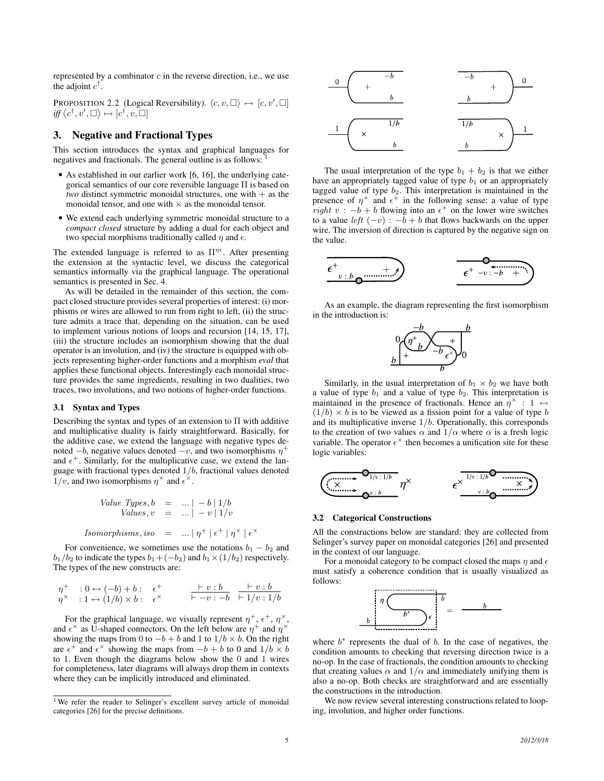represented by a combinator  $c$  in the reverse direction, i.e., we use the adjoint  $c^{\dagger}$ .

PROPOSITION 2.2 (Logical Reversibility).  $\langle c, v, \Box \rangle \mapsto [c, v', \Box]$  $\textit{iff} \langle c^\dagger, v', \Box \rangle \mapsto [c^\dagger, v, \Box]$ 

# 3. Negative and Fractional Types

This section introduces the syntax and graphical languages for negatives and fractionals. The general outline is as follows: <sup>1</sup>

- As established in our earlier work [6, 16], the underlying categorical semantics of our core reversible language Π is based on *two* distinct symmetric monoidal structures, one with + as the monoidal tensor, and one with  $\times$  as the monoidal tensor.
- We extend each underlying symmetric monoidal structure to a *compact closed* structure by adding a dual for each object and two special morphisms traditionally called  $\eta$  and  $\epsilon$ .

The extended language is referred to as  $\Pi^{\eta\epsilon}$ . After presenting the extension at the syntactic level, we discuss the categorical semantics informally via the graphical language. The operational semantics is presented in Sec. 4.

As will be detailed in the remainder of this section, the compact closed structure provides several properties of interest: (i) morphisms or wires are allowed to run from right to left, (ii) the structure admits a trace that, depending on the situation, can be used to implement various notions of loops and recursion [14, 15, 17], (iii) the structure includes an isomorphism showing that the dual operator is an involution, and (iv) the structure is equipped with objects representing higher-order functions and a morphism *eval* that applies these functional objects. Interestingly each monoidal structure provides the same ingredients, resulting in two dualities, two traces, two involutions, and two notions of higher-order functions.

#### 3.1 Syntax and Types

Describing the syntax and types of an extension to Π with additive and multiplicative duality is fairly straightforward. Basically, for the additive case, we extend the language with negative types denoted  $-b$ , negative values denoted  $-v$ , and two isomorphisms  $\eta^+$ and  $\epsilon^+$ . Similarly, for the multiplicative case, we extend the language with fractional types denoted  $1/b$ , fractional values denoted  $1/v$ , and two isomorphisms  $\eta^{\times}$  and  $\epsilon^{\times}$ .

Value Types, 
$$
b = ... | -b | 1/b
$$
  
\nValues,  $v = ... | -v | 1/v$   
\nIsomorphisms, iso = ... |  $\eta^+ | \epsilon^+ | \eta^\times | \epsilon^\times$ 

For convenience, we sometimes use the notations  $b_1 - b_2$  and  $b_1/b_2$  to indicate the types  $b_1+(-b_2)$  and  $b_1\times(1/b_2)$  respectively. The types of the new constructs are:

$$
\begin{array}{llll}\n\eta^+ & : 0 \leftrightarrow (-b) + b: & \epsilon^+ & \frac{\vdash v : b}{\vdash -v : -b} & \frac{\vdash v : b}{\vdash 1/v : 1/b} \\
\eta^\times & : 1 \leftrightarrow (1/b) \times b: & \epsilon^\times & \frac{\vdash -v : -b}{\vdash -v : -b} & \frac{\vdash v : b}{\vdash 1/v : 1/b}\n\end{array}
$$

For the graphical language, we visually represent  $\eta^+$ ,  $\epsilon^+$ ,  $\eta^\times$ , and  $\epsilon^{\times}$  as U-shaped connectors. On the left below are  $\eta^{+}$  and  $\eta^{\times}$ showing the maps from 0 to  $-b + b$  and 1 to  $1/b \times b$ . On the right are  $\epsilon^+$  and  $\epsilon^\times$  showing the maps from  $-b + b$  to 0 and  $1/b \times b$ to 1. Even though the diagrams below show the 0 and 1 wires for completeness, later diagrams will always drop them in contexts where they can be implicitly introduced and eliminated.



The usual interpretation of the type  $b_1 + b_2$  is that we either have an appropriately tagged value of type  $b_1$  or an appropriately tagged value of type  $b_2$ . This interpretation is maintained in the presence of  $\eta^+$  and  $\epsilon^+$  in the following sense: a value of type *right*  $v : -b + b$  flowing into an  $\epsilon^+$  on the lower wire switches to a value *left*  $(-v)$ :  $-b + b$  that flows backwards on the upper wire. The inversion of direction is captured by the negative sign on the value.



As an example, the diagram representing the first isomorphism in the introduction is:



Similarly, in the usual interpretation of  $b_1 \times b_2$  we have both a value of type  $b_1$  and a value of type  $b_2$ . This interpretation is maintained in the presence of fractionals. Hence an  $\eta^{\times}$  : 1  $\leftrightarrow$  $(1/b) \times b$  is to be viewed as a fission point for a value of type b and its multiplicative inverse  $1/b$ . Operationally, this corresponds to the creation of two values  $\alpha$  and  $1/\alpha$  where  $\alpha$  is a fresh logic variable. The operator  $\epsilon^{\times}$  then becomes a unification site for these logic variables:



#### 3.2 Categorical Constructions

All the constructions below are standard: they are collected from Selinger's survey paper on monoidal categories [26] and presented in the context of our language.

For a monoidal category to be compact closed the maps  $\eta$  and  $\epsilon$ must satisfy a coherence condition that is usually visualized as follows:



where  $b^*$  represents the dual of b. In the case of negatives, the condition amounts to checking that reversing direction twice is a no-op. In the case of fractionals, the condition amounts to checking that creating values  $\alpha$  and  $1/\alpha$  and immediately unifying them is also a no-op. Both checks are straightforward and are essentially the constructions in the introduction.

We now review several interesting constructions related to looping, involution, and higher order functions.

<sup>&</sup>lt;sup>1</sup>We refer the reader to Selinger's excellent survey article of monoidal categories [26] for the precise definitions.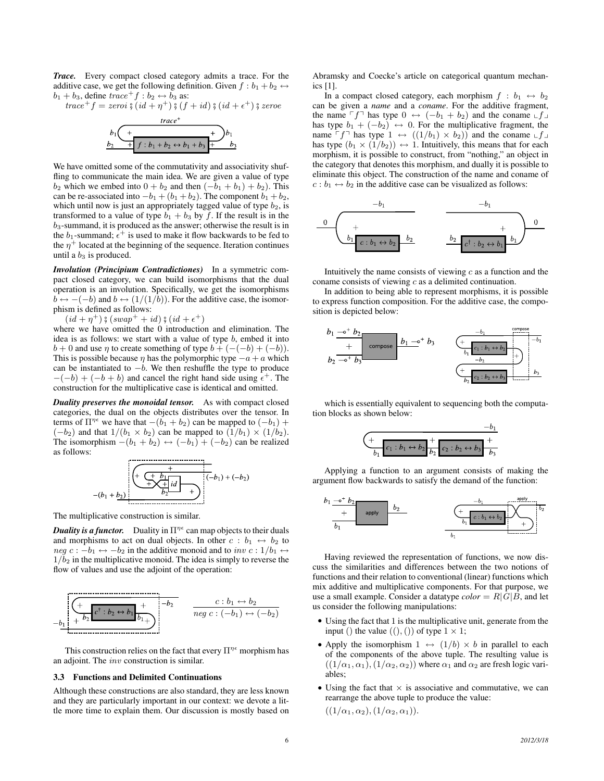*Trace.* Every compact closed category admits a trace. For the additive case, we get the following definition. Given  $f : b_1 + b_2 \leftrightarrow$  $b_1 + b_3$ , define  $trace^+ f : b_2 \leftrightarrow b_3$  as:

trace<sup>+</sup> f = zeroi  $\zeta(id + \eta^+) \zeta(f + id) \zeta(id + \epsilon^+) \zeta$  zeroe

$$
b_1 \left( \frac{1}{b_2 + f : b_1 + b_2 \leftrightarrow b_1 + b_3} \right) b_1
$$

We have omitted some of the commutativity and associativity shuffling to communicate the main idea. We are given a value of type  $b_2$  which we embed into  $0 + b_2$  and then  $(-b_1 + b_1) + b_2$ ). This can be re-associated into  $-b_1 + (b_1 + b_2)$ . The component  $b_1 + b_2$ , which until now is just an appropriately tagged value of type  $b_2$ , is transformed to a value of type  $b_1 + b_3$  by f. If the result is in the  $b_3$ -summand, it is produced as the answer; otherwise the result is in the  $b_1$ -summand;  $\epsilon^+$  is used to make it flow backwards to be fed to the  $\eta^+$  located at the beginning of the sequence. Iteration continues until a  $b_3$  is produced.

*Involution (Principium Contradictiones)* In a symmetric compact closed category, we can build isomorphisms that the dual operation is an involution. Specifically, we get the isomorphisms  $b \leftrightarrow -(-b)$  and  $b \leftrightarrow (1/(1/b))$ . For the additive case, the isomorphism is defined as follows:

 $(id + \eta^+)$   $\circ$   $(swap^+ + id)$   $\circ$   $(id + \epsilon^+)$ <br>ere we have omitted the 0 introduction

where we have omitted the 0 introduction and elimination. The idea is as follows: we start with a value of type  $b$ , embed it into  $b + 0$  and use  $\eta$  to create something of type  $b + (-(-b) + (-b))$ . This is possible because  $\eta$  has the polymorphic type  $-a + a$  which can be instantiated to  $-b$ . We then reshuffle the type to produce  $-(-b) + (-b + b)$  and cancel the right hand side using  $\epsilon^+$ . The construction for the multiplicative case is identical and omitted.

*Duality preserves the monoidal tensor.* As with compact closed categories, the dual on the objects distributes over the tensor. In terms of  $\Pi^{\eta \epsilon}$  we have that  $-(b_1 + b_2)$  can be mapped to  $(-b_1)$  +  $(-b_2)$  and that  $1/(b_1 \times b_2)$  can be mapped to  $(1/b_1) \times (1/b_2)$ . The isomorphism  $-(b_1 + b_2) \leftrightarrow (-b_1) + (-b_2)$  can be realized as follows:



The multiplicative construction is similar.

**Duality is a functor.** Duality in  $\Pi^{\eta \epsilon}$  can map objects to their duals and morphisms to act on dual objects. In other  $c : b_1 \leftrightarrow b_2$  to neg  $c: -b_1 \leftrightarrow -b_2$  in the additive monoid and to inv  $c: 1/b_1 \leftrightarrow$  $1/b<sub>2</sub>$  in the multiplicative monoid. The idea is simply to reverse the flow of values and use the adjoint of the operation:



This construction relies on the fact that every  $\Pi^{\eta \epsilon}$  morphism has an adjoint. The inv construction is similar.

#### 3.3 Functions and Delimited Continuations

Although these constructions are also standard, they are less known and they are particularly important in our context: we devote a little more time to explain them. Our discussion is mostly based on

Abramsky and Coecke's article on categorical quantum mechanics [1].

In a compact closed category, each morphism  $f : b_1 \leftrightarrow b_2$ can be given a *name* and a *coname*. For the additive fragment, the name  $\ulcorner f \urcorner$  has type  $0 \leftrightarrow (-b_1 + b_2)$  and the coname  $\ulcorner f \urcorner$ has type  $b_1 + (-b_2) \leftrightarrow 0$ . For the multiplicative fragment, the name  $\ulcorner f \urcorner$  has type  $1 \leftrightarrow ((1/b_1) \times b_2)$  and the coname  $\ulcorner f \urcorner$ has type  $(b_1 \times (1/b_2)) \leftrightarrow 1$ . Intuitively, this means that for each morphism, it is possible to construct, from "nothing," an object in the category that denotes this morphism, and dually it is possible to eliminate this object. The construction of the name and coname of  $c : b_1 \leftrightarrow b_2$  in the additive case can be visualized as follows:



Intuitively the name consists of viewing  $c$  as a function and the coname consists of viewing c as a delimited continuation.

In addition to being able to represent morphisms, it is possible to express function composition. For the additive case, the composition is depicted below:



which is essentially equivalent to sequencing both the computation blocks as shown below:



Applying a function to an argument consists of making the argument flow backwards to satisfy the demand of the function:



Having reviewed the representation of functions, we now discuss the similarities and differences between the two notions of functions and their relation to conventional (linear) functions which mix additive and multiplicative components. For that purpose, we use a small example. Consider a datatype  $color = R|\overline{G}|\overline{B}$ , and let us consider the following manipulations:

- Using the fact that 1 is the multiplicative unit, generate from the input () the value  $((),())$  of type  $1 \times 1$ ;
- Apply the isomorphism  $1 \leftrightarrow (1/b) \times b$  in parallel to each of the components of the above tuple. The resulting value is  $((1/\alpha_1, \alpha_1), (1/\alpha_2, \alpha_2))$  where  $\alpha_1$  and  $\alpha_2$  are fresh logic variables;
- Using the fact that  $\times$  is associative and commutative, we can rearrange the above tuple to produce the value:

 $((1/\alpha_1, \alpha_2), (1/\alpha_2, \alpha_1)).$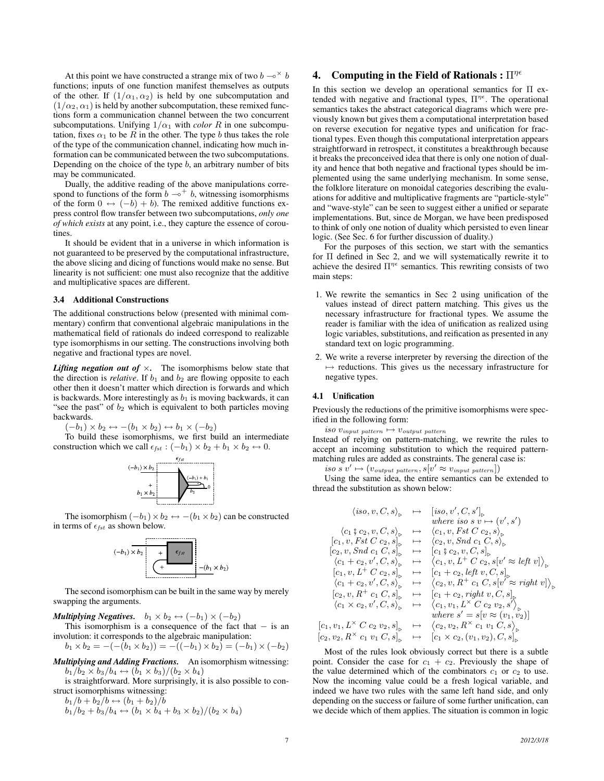At this point we have constructed a strange mix of two  $b \rightarrow^{\times} b$ functions; inputs of one function manifest themselves as outputs of the other. If  $(1/\alpha_1, \alpha_2)$  is held by one subcomputation and  $(1/\alpha_2, \alpha_1)$  is held by another subcomputation, these remixed functions form a communication channel between the two concurrent subcomputations. Unifying  $1/\alpha_1$  with *color* R in one subcomputation, fixes  $\alpha_1$  to be R in the other. The type b thus takes the role of the type of the communication channel, indicating how much information can be communicated between the two subcomputations. Depending on the choice of the type  $b$ , an arbitrary number of bits may be communicated.

Dually, the additive reading of the above manipulations correspond to functions of the form  $b \rightarrow b$ , witnessing isomorphisms of the form  $0 \leftrightarrow (-b) + b$ . The remixed additive functions express control flow transfer between two subcomputations, *only one of which exists* at any point, i.e., they capture the essence of coroutines.

It should be evident that in a universe in which information is not guaranteed to be preserved by the computational infrastructure, the above slicing and dicing of functions would make no sense. But linearity is not sufficient: one must also recognize that the additive and multiplicative spaces are different.

#### 3.4 Additional Constructions

The additional constructions below (presented with minimal commentary) confirm that conventional algebraic manipulations in the mathematical field of rationals do indeed correspond to realizable type isomorphisms in our setting. The constructions involving both negative and fractional types are novel.

*Lifting negation out of*  $\times$ . The isomorphisms below state that the direction is *relative*. If  $b_1$  and  $b_2$  are flowing opposite to each other then it doesn't matter which direction is forwards and which is backwards. More interestingly as  $b_1$  is moving backwards, it can "see the past" of  $b_2$  which is equivalent to both particles moving backwards.

 $(-b_1) \times b_2 \leftrightarrow -(b_1 \times b_2) \leftrightarrow b_1 \times (-b_2)$ 

To build these isomorphisms, we first build an intermediate construction which we call  $\epsilon_{fst}$  :  $(-b_1) \times b_2 + b_1 \times b_2 \leftrightarrow 0$ .



The isomorphism  $(-b_1) \times b_2 \leftrightarrow -(b_1 \times b_2)$  can be constructed in terms of  $\epsilon_{fst}$  as shown below.



The second isomorphism can be built in the same way by merely swapping the arguments.

*Multiplying Negatives.*  $b_1 \times b_2 \leftrightarrow (-b_1) \times (-b_2)$ 

This isomorphism is a consequence of the fact that  $-$  is an involution: it corresponds to the algebraic manipulation:

$$
b_1 \times b_2 = -(- (b_1 \times b_2)) = -((-b_1) \times b_2) = (-b_1) \times (-b_2)
$$

*Multiplying and Adding Fractions.* An isomorphism witnessing:  $b_1/b_2 \times b_3/b_4 \leftrightarrow (b_1 \times b_3)/(b_2 \times b_4)$ 

is straightforward. More surprisingly, it is also possible to construct isomorphisms witnessing:

 $b_1/b + b_2/b \leftrightarrow (b_1 + b_2)/b$  $b_1/b_2 + b_3/b_4 \leftrightarrow (b_1 \times b_4 + b_3 \times b_2)/(b_2 \times b_4)$ 

## 4. Computing in the Field of Rationals :  $\Pi^{\eta\epsilon}$

In this section we develop an operational semantics for Π extended with negative and fractional types,  $\Pi^{\eta \epsilon}$ . The operational semantics takes the abstract categorical diagrams which were previously known but gives them a computational interpretation based on reverse execution for negative types and unification for fractional types. Even though this computational interpretation appears straightforward in retrospect, it constitutes a breakthrough because it breaks the preconceived idea that there is only one notion of duality and hence that both negative and fractional types should be implemented using the same underlying mechanism. In some sense, the folklore literature on monoidal categories describing the evaluations for additive and multiplicative fragments are "particle-style" and "wave-style" can be seen to suggest either a unified or separate implementations. But, since de Morgan, we have been predisposed to think of only one notion of duality which persisted to even linear logic. (See Sec. 6 for further discussion of duality.)

For the purposes of this section, we start with the semantics for Π defined in Sec 2, and we will systematically rewrite it to achieve the desired  $\Pi^{\eta \epsilon}$  semantics. This rewriting consists of two main steps:

- 1. We rewrite the semantics in Sec 2 using unification of the values instead of direct pattern matching. This gives us the necessary infrastructure for fractional types. We assume the reader is familiar with the idea of unification as realized using logic variables, substitutions, and reification as presented in any standard text on logic programming.
- 2. We write a reverse interpreter by reversing the direction of the  $\rightarrow$  reductions. This gives us the necessary infrastructure for negative types.

#### 4.1 Unification

Previously the reductions of the primitive isomorphisms were specified in the following form:

iso  $v_{input\ pattern} \mapsto v_{output\ pattern}$ 

Instead of relying on pattern-matching, we rewrite the rules to accept an incoming substitution to which the required patternmatching rules are added as constraints. The general case is:

iso s  $v' \mapsto (v_{output\ pattern}, s[v' \approx v_{input\ pattern}])$ 

Using the same idea, the entire semantics can be extended to thread the substitution as shown below:

$$
\langle iso, v, C, s \rangle_{\triangleright} \rightarrow [\mathrm{iso}, v', C, s']_{\triangleright}
$$
  
\n
$$
\langle c_1 \, , c_2, v, C, s \rangle_{\triangleright} \rightarrow \langle c_1, v, Fst \, Cc_2, s \rangle_{\triangleright}
$$
  
\n
$$
[c_1, v, Fst \, Cc_2, s]_{\triangleright} \rightarrow \langle c_2, v, Snd \, c_1 \, C, s \rangle_{\triangleright}
$$
  
\n
$$
[c_2, v, Snd \, c_1 \, C, s]_{\triangleright} \rightarrow [\mathrm{c}_1 \, , c_2, v, C, s]_{\triangleright}
$$
  
\n
$$
\langle c_1 + c_2, v', C, s \rangle_{\triangleright} \rightarrow \langle c_1, v, L^+ \, C \, c_2, s | v' \approx \mathrm{left } \, v \rangle_{\triangleright}
$$
  
\n
$$
[c_1, v, L^+ \, C \, c_2, s]_{\triangleright} \rightarrow [\mathrm{c}_1 + c_2, \mathrm{left } \, v, C, s]_{\triangleright}
$$
  
\n
$$
\langle c_1 + c_2, v', C, s \rangle_{\triangleright} \rightarrow [\mathrm{c}_1 + c_2, \mathrm{left } \, v, C, s]_{\triangleright}
$$
  
\n
$$
\langle c_1 + c_2, v', C, s \rangle_{\triangleright} \rightarrow \langle c_2, v, R^+ \, c_1 \, C, s | v' \approx \mathrm{right } \, v]_{\triangleright}
$$
  
\n
$$
[c_2, v, R^+ \, c_1 \, C, s]_{\triangleright} \rightarrow [\mathrm{c}_1 + c_2, \mathrm{right } \, v, C, s]_{\triangleright}
$$
  
\n
$$
\langle c_1 \times c_2, v', C, s \rangle_{\triangleright} \rightarrow \langle c_1, v_1, L^{\times} \, C \, c_2 \, v_2, s' \rangle_{\triangleright}
$$
  
\n
$$
\langle v_1, L^{\times} \, C \, c_2 \, v_2, s]_{\triangleright} \rightarrow \langle c_2, v_2, R^{\times} \, c_1 \, v_1 \, C, s \rangle_{\triangleright}
$$
  
\n
$$
v_2, R
$$

Most of the rules look obviously correct but there is a subtle point. Consider the case for  $c_1 + c_2$ . Previously the shape of the value determined which of the combinators  $c_1$  or  $c_2$  to use. Now the incoming value could be a fresh logical variable, and indeed we have two rules with the same left hand side, and only depending on the success or failure of some further unification, can we decide which of them applies. The situation is common in logic

 $\left\lfloor c_1\right\rfloor$ 

 $\vert c_2,$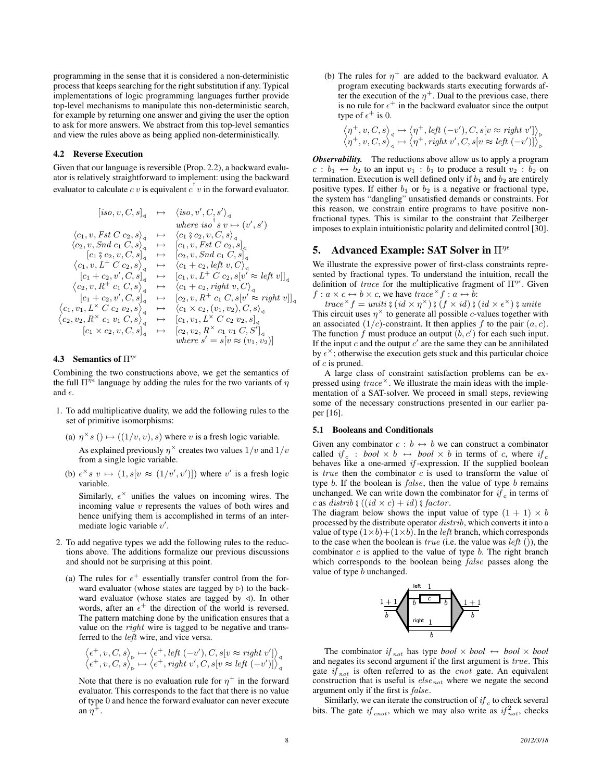programming in the sense that it is considered a non-deterministic process that keeps searching for the right substitution if any. Typical implementations of logic programming languages further provide top-level mechanisms to manipulate this non-deterministic search, for example by returning one answer and giving the user the option to ask for more answers. We abstract from this top-level semantics and view the rules above as being applied non-deterministically.

#### 4.2 Reverse Execution

Given that our language is reversible (Prop. 2.2), a backward evaluator is relatively straightforward to implement: using the backward evaluator to calculate  $cv$  is equivalent  $c^{\dagger}v$  in the forward evaluator.

$$
[iso, v, C, s]_{\mathcal{A}} \rightarrow \langle iso, v', C, s' \rangle_{\mathcal{A}}
$$
  
\nwhere  $iso^{\dagger} s v \mapsto (v', s')$   
\n
$$
\langle c_1, v, Fst C c_2, s \rangle_{\mathcal{A}} \rightarrow \langle c_1 \xi c_2, v, C, s \rangle_{\mathcal{A}}
$$
  
\n
$$
\langle c_2, v, Snd \ c_1 \xi c_2, v, C, s \rangle_{\mathcal{A}} \rightarrow [c_1, v, Fst C c_2, s]_{\mathcal{A}}
$$
  
\n
$$
\langle c_1 \xi c_2, v, C, s \rangle_{\mathcal{A}} \rightarrow [c_2, v, Snd \ c_1 \ C, s]_{\mathcal{A}}
$$
  
\n
$$
\langle c_1, v, L^+ C c_2, s \rangle_{\mathcal{A}} \rightarrow \langle c_1 + c_2, left v, C \rangle_{\mathcal{A}}
$$
  
\n
$$
[c_1 + c_2, v', C, s]_{\mathcal{A}} \rightarrow [c_1, v, L^+ C c_2, s[v' \approx left v]]_{\mathcal{A}}
$$
  
\n
$$
\langle c_2, v, R^+ c_1 \ C, s \rangle_{\mathcal{A}} \rightarrow \langle c_1 + c_2, right v, C \rangle_{\mathcal{A}}
$$
  
\n
$$
[c_1 + c_2, v', C, s]_{\mathcal{A}} \rightarrow \langle c_1 + c_2, right v, C \rangle_{\mathcal{A}}
$$
  
\n
$$
\langle c_1, v_1, L^{\times} C c_2 v_2, s \rangle_{\mathcal{A}} \rightarrow \langle c_1 \times c_2, (v_1, v_2), C, s \rangle_{\mathcal{A}}
$$
  
\n
$$
\langle c_2, v_2, R^{\times} c_1 v_1 C, s \rangle_{\mathcal{A}} \rightarrow [c_1, v_1, L^{\times} C c_2 v_2, s]_{\mathcal{A}}
$$
  
\n
$$
[c_1 \times c_2, v, C, s]_{\mathcal{A}} \rightarrow [c_2, v_2, R^{\times} c_1 v_1 C, S']_{\mathcal{A}}
$$
  
\nwhere  $s' = s[v \approx (v_1, v_2)]$ 

## **4.3** Semantics of  $\Pi^{\eta \epsilon}$

Combining the two constructions above, we get the semantics of the full  $\Pi^{\eta \epsilon}$  language by adding the rules for the two variants of  $\eta$ and  $\epsilon$ .

- 1. To add multiplicative duality, we add the following rules to the set of primitive isomorphisms:
	- (a)  $\eta^{\times} s$  ()  $\mapsto ((1/v, v), s)$  where v is a fresh logic variable. As explained previously  $\eta^{\times}$  creates two values  $1/v$  and  $1/v$ from a single logic variable.
	- (b)  $\epsilon^{\times} s$   $v \mapsto (1, s[v \approx (1/v', v')] )$  where v' is a fresh logic variable.

Similarly,  $\epsilon^{\times}$  unifies the values on incoming wires. The incoming value  $v$  represents the values of both wires and hence unifying them is accomplished in terms of an intermediate logic variable  $v'$ .

- 2. To add negative types we add the following rules to the reductions above. The additions formalize our previous discussions and should not be surprising at this point.
	- (a) The rules for  $\epsilon^+$  essentially transfer control from the forward evaluator (whose states are tagged by  $\triangleright$ ) to the backward evaluator (whose states are tagged by  $\triangleleft$ ). In other words, after an  $\epsilon^+$  the direction of the world is reversed. The pattern matching done by the unification ensures that a value on the *right* wire is tagged to be negative and transferred to the left wire, and vice versa.

$$
\begin{array}{l} \left\langle \epsilon^+,v,C,s\right\rangle_\triangleright\mapsto \left\langle \epsilon^+,left\(-v'),C,s[v\approx right\ v']\right\rangle_\triangleleft \right.\\ \left\langle \epsilon^+,v,C,s\right\rangle_\triangleright\mapsto \left\langle \epsilon^+,right\ v',C,s[v\approx left\ (-v')] \right\rangle_\triangleleft \right. \end{array}
$$

Note that there is no evaluation rule for  $\eta^+$  in the forward evaluator. This corresponds to the fact that there is no value of type 0 and hence the forward evaluator can never execute an  $\ddot{\eta}^+$ .

(b) The rules for  $\eta^+$  are added to the backward evaluator. A program executing backwards starts executing forwards after the execution of the  $\eta^+$ . Dual to the previous case, there is no rule for  $\epsilon^+$  in the backward evaluator since the output type of  $\epsilon^+$  is 0.

$$
\begin{array}{c}\n\left\langle \eta^+, v, C, s \right\rangle_{\triangleleft} \mapsto \left\langle \eta^+, left \ (-v'), C, s[v \approx right \ v'] \right\rangle_{\triangleright} \\
\left\langle \eta^+, v, C, s \right\rangle_{\triangleleft} \mapsto \left\langle \eta^+, right \ v', C, s[v \approx left \ (-v')] \right\rangle_{\triangleright}\n\end{array}
$$

*Observability.* The reductions above allow us to apply a program  $c : b_1 \leftrightarrow b_2$  to an input  $v_1 : b_1$  to produce a result  $v_2 : b_2$  on termination. Execution is well defined only if  $b_1$  and  $b_2$  are entirely positive types. If either  $b_1$  or  $b_2$  is a negative or fractional type, the system has "dangling" unsatisfied demands or constraints. For this reason, we constrain entire programs to have positive nonfractional types. This is similar to the constraint that Zeilberger imposes to explain intuitionistic polarity and delimited control [30].

#### 5. Advanced Example: SAT Solver in  $\Pi^{\eta\epsilon}$

We illustrate the expressive power of first-class constraints represented by fractional types. To understand the intuition, recall the definition of trace for the multiplicative fragment of  $\Pi^{\eta\epsilon}$ . Given  $f : a \times c \leftrightarrow b \times c$ , we have  $trace^{\times} f : a \leftrightarrow b$ :

trace  ${}^{\times}f = \text{unit}$ ;  $\frac{2}{3}$  (id  $\times \eta^{\times}$ )  $\frac{2}{3}$  (id  $\times \frac{2}{3}$ )  $\frac{2}{3}$  unite<br>s circuit uses  $n^{\times}$  to generate all possible c values together wi This circuit uses  $\eta^{\times}$  to generate all possible c-values together with an associated  $(1/c)$ -constraint. It then applies f to the pair  $(a, c)$ . The function f must produce an output  $(b, c')$  for each such input. If the input  $c$  and the output  $c'$  are the same they can be annihilated by  $\epsilon^{\times}$ ; otherwise the execution gets stuck and this particular choice of  $c$  is pruned.

A large class of constraint satisfaction problems can be expressed using  $trace^{\times}$ . We illustrate the main ideas with the implementation of a SAT-solver. We proceed in small steps, reviewing some of the necessary constructions presented in our earlier paper [16].

#### 5.1 Booleans and Conditionals

Given any combinator  $c : b \leftrightarrow b$  we can construct a combinator called if  $c : \text{bool} \times b \leftrightarrow \text{bool} \times b$  in terms of c, where if c behaves like a one-armed  $if$ -expression. If the supplied boolean is *true* then the combinator  $c$  is used to transform the value of type  $b$ . If the boolean is  $false$ , then the value of type  $b$  remains unchanged. We can write down the combinator for  $if_c$  in terms of c as distrib  $\frac{2}{7}((id \times c) + id) \frac{2}{7} factor.$ 

The diagram below shows the input value of type  $(1 + 1) \times b$ processed by the distribute operator distrib, which converts it into a value of type  $(1\times b) + (1\times b)$ . In the *left* branch, which corresponds to the case when the boolean is  $true$  (i.e. the value was *left* ()), the combinator  $c$  is applied to the value of type  $b$ . The right branch which corresponds to the boolean being false passes along the value of type b unchanged.



The combinator  $if_{not}$  has type *bool*  $\times$  *bool*  $\times$  *bool*  $\times$  *bool* and negates its second argument if the first argument is true. This gate  $if_{not}$  is often referred to as the *cnot* gate. An equivalent construction that is useful is  $else_{not}$  where we negate the second argument only if the first is false.

Similarly, we can iterate the construction of  $if_c$  to check several bits. The gate if  $t_{\text{cnot}}$ , which we may also write as  $if_{\text{not}}^2$ , checks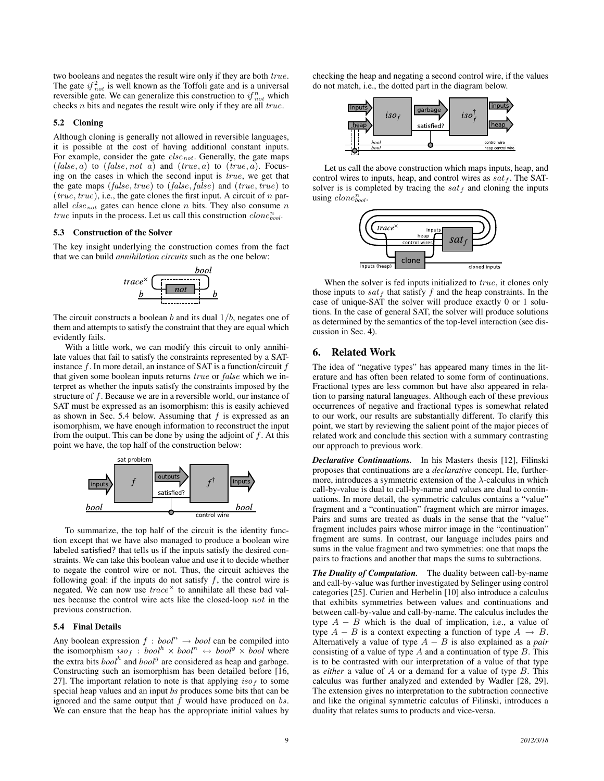two booleans and negates the result wire only if they are both  $true$ . The gate  $if_{not}^2$  is well known as the Toffoli gate and is a universal reversible gate. We can generalize this construction to  $if_{not}^n$  which checks  $n$  bits and negates the result wire only if they are all  $true$ .

### 5.2 Cloning

Although cloning is generally not allowed in reversible languages, it is possible at the cost of having additional constant inputs. For example, consider the gate  $else_{not}$ . Generally, the gate maps  $(false, a)$  to  $(false, not a)$  and  $(true, a)$  to  $(true, a)$ . Focusing on the cases in which the second input is true, we get that the gate maps  $(false, true)$  to  $(false, false)$  and  $(true, true)$  to ( $true, true$ ), i.e., the gate clones the first input. A circuit of  $n$  parallel  $else_{not}$  gates can hence clone n bits. They also consume n  $true$  inputs in the process. Let us call this construction  $clone_{bool}^n$ .

#### 5.3 Construction of the Solver

The key insight underlying the construction comes from the fact that we can build *annihilation circuits* such as the one below:



The circuit constructs a boolean b and its dual  $1/b$ , negates one of them and attempts to satisfy the constraint that they are equal which evidently fails.

With a little work, we can modify this circuit to only annihilate values that fail to satisfy the constraints represented by a SATinstance  $f$ . In more detail, an instance of SAT is a function/circuit  $f$ that given some boolean inputs returns true or false which we interpret as whether the inputs satisfy the constraints imposed by the structure of f. Because we are in a reversible world, our instance of SAT must be expressed as an isomorphism: this is easily achieved as shown in Sec. 5.4 below. Assuming that  $f$  is expressed as an isomorphism, we have enough information to reconstruct the input from the output. This can be done by using the adjoint of  $f$ . At this point we have, the top half of the construction below:



To summarize, the top half of the circuit is the identity function except that we have also managed to produce a boolean wire labeled satisfied? that tells us if the inputs satisfy the desired constraints. We can take this boolean value and use it to decide whether to negate the control wire or not. Thus, the circuit achieves the following goal: if the inputs do not satisfy  $f$ , the control wire is negated. We can now use  $trace^{\times}$  to annihilate all these bad values because the control wire acts like the closed-loop not in the previous construction.

#### 5.4 Final Details

Any boolean expression  $f : bool^n \rightarrow bool$  can be compiled into the isomorphism  $iso_f : bool^h \times bool^n \leftrightarrow bool^g \times bool$ the extra bits  $bool<sup>h</sup>$  and  $bool<sup>g</sup>$  are considered as heap and garbage. Constructing such an isomorphism has been detailed before [16, 27]. The important relation to note is that applying  $iso<sub>f</sub>$  to some special heap values and an input *bs* produces some bits that can be ignored and the same output that  $f$  would have produced on  $bs$ . We can ensure that the heap has the appropriate initial values by

checking the heap and negating a second control wire, if the values do not match, i.e., the dotted part in the diagram below.



Let us call the above construction which maps inputs, heap, and control wires to inputs, heap, and control wires as  $sat<sub>f</sub>$ . The SATsolver is is completed by tracing the  $sat_f$  and cloning the inputs using *clone*<sup>n</sup><sub>bool</sub>.



When the solver is fed inputs initialized to *true*, it clones only those inputs to  $sat_f$  that satisfy  $f$  and the heap constraints. In the case of unique-SAT the solver will produce exactly 0 or 1 solutions. In the case of general SAT, the solver will produce solutions as determined by the semantics of the top-level interaction (see discussion in Sec. 4).

## 6. Related Work

The idea of "negative types" has appeared many times in the literature and has often been related to some form of continuations. Fractional types are less common but have also appeared in relation to parsing natural languages. Although each of these previous occurrences of negative and fractional types is somewhat related to our work, our results are substantially different. To clarify this point, we start by reviewing the salient point of the major pieces of related work and conclude this section with a summary contrasting our approach to previous work.

*Declarative Continuations.* In his Masters thesis [12], Filinski proposes that continuations are a *declarative* concept. He, furthermore, introduces a symmetric extension of the  $\lambda$ -calculus in which call-by-value is dual to call-by-name and values are dual to continuations. In more detail, the symmetric calculus contains a "value" fragment and a "continuation" fragment which are mirror images. Pairs and sums are treated as duals in the sense that the "value" fragment includes pairs whose mirror image in the "continuation" fragment are sums. In contrast, our language includes pairs and sums in the value fragment and two symmetries: one that maps the pairs to fractions and another that maps the sums to subtractions.

*The Duality of Computation.* The duality between call-by-name and call-by-value was further investigated by Selinger using control categories [25]. Curien and Herbelin [10] also introduce a calculus that exhibits symmetries between values and continuations and between call-by-value and call-by-name. The calculus includes the type  $A - B$  which is the dual of implication, i.e., a value of type  $A - B$  is a context expecting a function of type  $A \rightarrow B$ . Alternatively a value of type A − B is also explained as a *pair* consisting of a value of type  $A$  and a continuation of type  $B$ . This is to be contrasted with our interpretation of a value of that type as *either* a value of A or a demand for a value of type B. This calculus was further analyzed and extended by Wadler [28, 29]. The extension gives no interpretation to the subtraction connective and like the original symmetric calculus of Filinski, introduces a duality that relates sums to products and vice-versa.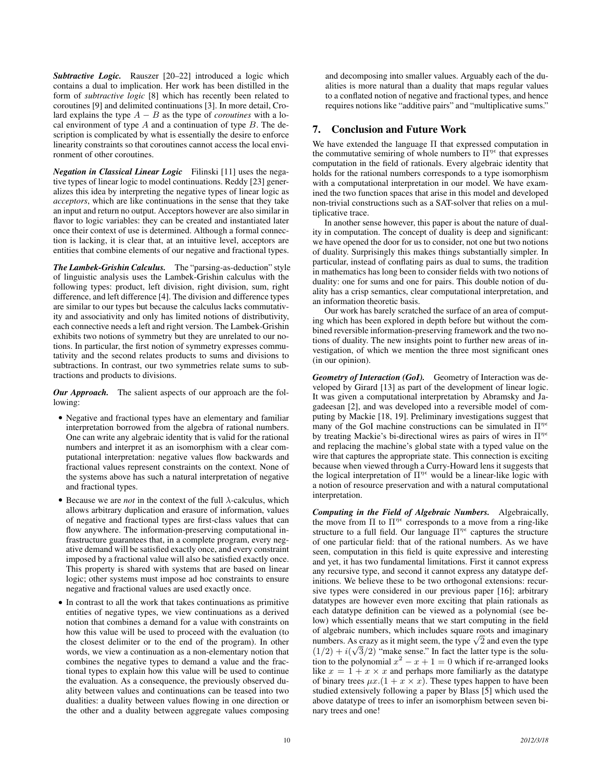*Subtractive Logic.* Rauszer [20–22] introduced a logic which contains a dual to implication. Her work has been distilled in the form of *subtractive logic* [8] which has recently been related to coroutines [9] and delimited continuations [3]. In more detail, Crolard explains the type  $A - B$  as the type of *coroutines* with a local environment of type  $A$  and a continuation of type  $B$ . The description is complicated by what is essentially the desire to enforce linearity constraints so that coroutines cannot access the local environment of other coroutines.

*Negation in Classical Linear Logic* Filinski [11] uses the negative types of linear logic to model continuations. Reddy [23] generalizes this idea by interpreting the negative types of linear logic as *acceptors*, which are like continuations in the sense that they take an input and return no output. Acceptors however are also similar in flavor to logic variables: they can be created and instantiated later once their context of use is determined. Although a formal connection is lacking, it is clear that, at an intuitive level, acceptors are entities that combine elements of our negative and fractional types.

*The Lambek-Grishin Calculus.* The "parsing-as-deduction" style of linguistic analysis uses the Lambek-Grishin calculus with the following types: product, left division, right division, sum, right difference, and left difference [4]. The division and difference types are similar to our types but because the calculus lacks commutativity and associativity and only has limited notions of distributivity, each connective needs a left and right version. The Lambek-Grishin exhibits two notions of symmetry but they are unrelated to our notions. In particular, the first notion of symmetry expresses commutativity and the second relates products to sums and divisions to subtractions. In contrast, our two symmetries relate sums to subtractions and products to divisions.

*Our Approach.* The salient aspects of our approach are the following:

- Negative and fractional types have an elementary and familiar interpretation borrowed from the algebra of rational numbers. One can write any algebraic identity that is valid for the rational numbers and interpret it as an isomorphism with a clear computational interpretation: negative values flow backwards and fractional values represent constraints on the context. None of the systems above has such a natural interpretation of negative and fractional types.
- Because we are *not* in the context of the full  $\lambda$ -calculus, which allows arbitrary duplication and erasure of information, values of negative and fractional types are first-class values that can flow anywhere. The information-preserving computational infrastructure guarantees that, in a complete program, every negative demand will be satisfied exactly once, and every constraint imposed by a fractional value will also be satisfied exactly once. This property is shared with systems that are based on linear logic; other systems must impose ad hoc constraints to ensure negative and fractional values are used exactly once.
- In contrast to all the work that takes continuations as primitive entities of negative types, we view continuations as a derived notion that combines a demand for a value with constraints on how this value will be used to proceed with the evaluation (to the closest delimiter or to the end of the program). In other words, we view a continuation as a non-elementary notion that combines the negative types to demand a value and the fractional types to explain how this value will be used to continue the evaluation. As a consequence, the previously observed duality between values and continuations can be teased into two dualities: a duality between values flowing in one direction or the other and a duality between aggregate values composing

and decomposing into smaller values. Arguably each of the dualities is more natural than a duality that maps regular values to a conflated notion of negative and fractional types, and hence requires notions like "additive pairs" and "multiplicative sums."

# 7. Conclusion and Future Work

We have extended the language Π that expressed computation in the commutative semiring of whole numbers to  $\Pi^{\eta\epsilon}$  that expresses computation in the field of rationals. Every algebraic identity that holds for the rational numbers corresponds to a type isomorphism with a computational interpretation in our model. We have examined the two function spaces that arise in this model and developed non-trivial constructions such as a SAT-solver that relies on a multiplicative trace.

In another sense however, this paper is about the nature of duality in computation. The concept of duality is deep and significant: we have opened the door for us to consider, not one but two notions of duality. Surprisingly this makes things substantially simpler. In particular, instead of conflating pairs as dual to sums, the tradition in mathematics has long been to consider fields with two notions of duality: one for sums and one for pairs. This double notion of duality has a crisp semantics, clear computational interpretation, and an information theoretic basis.

Our work has barely scratched the surface of an area of computing which has been explored in depth before but without the combined reversible information-preserving framework and the two notions of duality. The new insights point to further new areas of investigation, of which we mention the three most significant ones (in our opinion).

*Geometry of Interaction (GoI).* Geometry of Interaction was developed by Girard [13] as part of the development of linear logic. It was given a computational interpretation by Abramsky and Jagadeesan [2], and was developed into a reversible model of computing by Mackie [18, 19]. Preliminary investigations suggest that many of the GoI machine constructions can be simulated in  $\Pi^{\eta\epsilon}$ by treating Mackie's bi-directional wires as pairs of wires in  $\Pi^{\eta\epsilon}$ and replacing the machine's global state with a typed value on the wire that captures the appropriate state. This connection is exciting because when viewed through a Curry-Howard lens it suggests that the logical interpretation of  $\Pi^{\eta \epsilon}$  would be a linear-like logic with a notion of resource preservation and with a natural computational interpretation.

*Computing in the Field of Algebraic Numbers.* Algebraically, the move from  $\Pi$  to  $\Pi^{\eta \epsilon}$  corresponds to a move from a ring-like structure to a full field. Our language  $\Pi^{\eta \epsilon}$  captures the structure of one particular field: that of the rational numbers. As we have seen, computation in this field is quite expressive and interesting and yet, it has two fundamental limitations. First it cannot express any recursive type, and second it cannot express any datatype definitions. We believe these to be two orthogonal extensions: recursive types were considered in our previous paper [16]; arbitrary datatypes are however even more exciting that plain rationals as each datatype definition can be viewed as a polynomial (see below) which essentially means that we start computing in the field of algebraic numbers, which includes square roots and imaginary or algebraic numbers, which includes square roots and imaginary<br>numbers. As crazy as it might seem, the type  $\sqrt{2}$  and even the type  $(1/2) + i(\sqrt{3}/2)$  "make sense." In fact the latter type is the solution to the polynomial  $x^2 - x + 1 = 0$  which if re-arranged looks like  $x = 1 + x \times x$  and perhaps more familiarly as the datatype of binary trees  $\mu x. (1 + x \times x)$ . These types happen to have been studied extensively following a paper by Blass [5] which used the above datatype of trees to infer an isomorphism between seven binary trees and one!